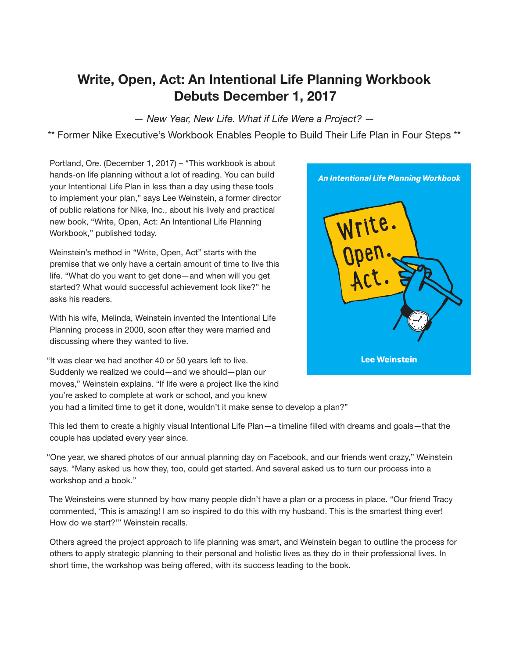# Write, Open, Act: An Intentional Life Planning Workbook Debuts December 1, 2017

— New Year, New Life. What if Life Were a Project? —

\*\* Former Nike Executive's Workbook Enables People to Build Their Life Plan in Four Steps \*\*

Portland, Ore. (December 1, 2017) – "This workbook is about hands-on life planning without a lot of reading. You can build your Intentional Life Plan in less than a day using these tools to implement your plan," says Lee Weinstein, a former director of public relations for Nike, Inc., about his lively and practical new book, "Write, Open, Act: An Intentional Life Planning Workbook," published today.

Weinstein's method in "Write, Open, Act" starts with the premise that we only have a certain amount of time to live this life. "What do you want to get done—and when will you get started? What would successful achievement look like?" he asks his readers.

With his wife, Melinda, Weinstein invented the Intentional Life Planning process in 2000, soon after they were married and discussing where they wanted to live.

"It was clear we had another 40 or 50 years left to live. Suddenly we realized we could—and we should—plan our moves," Weinstein explains. "If life were a project like the kind you're asked to complete at work or school, and you knew

you had a limited time to get it done, wouldn't it make sense to develop a plan?"

This led them to create a highly visual Intentional Life Plan—a timeline filled with dreams and goals—that the couple has updated every year since.

"One year, we shared photos of our annual planning day on Facebook, and our friends went crazy," Weinstein says. "Many asked us how they, too, could get started. And several asked us to turn our process into a workshop and a book."

The Weinsteins were stunned by how many people didn't have a plan or a process in place. "Our friend Tracy commented, 'This is amazing! I am so inspired to do this with my husband. This is the smartest thing ever! How do we start?'" Weinstein recalls.

Others agreed the project approach to life planning was smart, and Weinstein began to outline the process for others to apply strategic planning to their personal and holistic lives as they do in their professional lives. In short time, the workshop was being offered, with its success leading to the book.